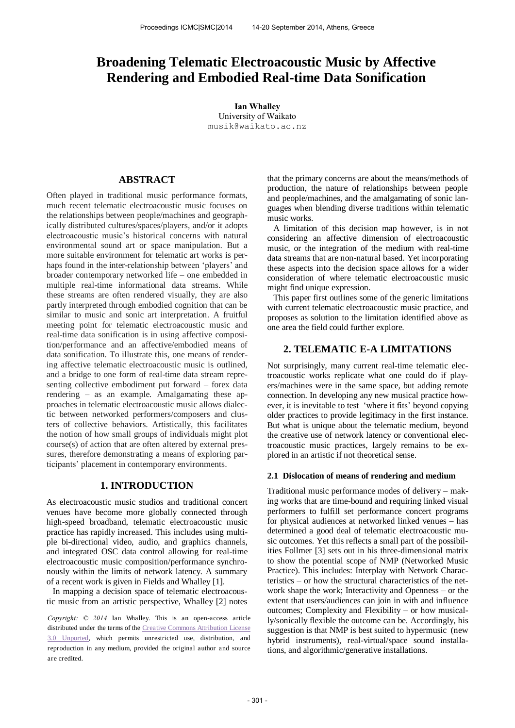# **Broadening Telematic Electroacoustic Music by Affective Rendering and Embodied Real-time Data Sonification**

**Ian Whalley**  University of Waikato [musik@waikato.ac.nz](mailto:author1@smcnetwork.org?subject=SMC%202010%20paper)

# **ABSTRACT**

Often played in traditional music performance formats, much recent telematic electroacoustic music focuses on the relationships between people/machines and geographically distributed cultures/spaces/players, and/or it adopts electroacoustic music's historical concerns with natural environmental sound art or space manipulation. But a more suitable environment for telematic art works is perhaps found in the inter-relationship between 'players' and broader contemporary networked life – one embedded in multiple real-time informational data streams. While these streams are often rendered visually, they are also partly interpreted through embodied cognition that can be similar to music and sonic art interpretation. A fruitful meeting point for telematic electroacoustic music and real-time data sonification is in using affective composition/performance and an affective/embodied means of data sonification. To illustrate this, one means of rendering affective telematic electroacoustic music is outlined, and a bridge to one form of real-time data stream representing collective embodiment put forward – forex data rendering – as an example. Amalgamating these approaches in telematic electroacoustic music allows dialectic between networked performers/composers and clusters of collective behaviors. Artistically, this facilitates the notion of how small groups of individuals might plot course(s) of action that are often altered by external pressures, therefore demonstrating a means of exploring participants' placement in contemporary environments.

# **1. INTRODUCTION**

As electroacoustic music studios and traditional concert venues have become more globally connected through high-speed broadband, telematic electroacoustic music practice has rapidly increased. This includes using multiple bi-directional video, audio, and graphics channels, and integrated OSC data control allowing for real-time electroacoustic music composition/performance synchronously within the limits of network latency. A summary of a recent work is given in Fields and Whalley [1].

In mapping a decision space of telematic electroacoustic music from an artistic perspective, Whalley [2] notes

*Copyright: © 2014* Ian Whalley. This is an open-access article distributed under the terms of th[e Creative Commons Attribution License](http://creativecommons.org/licenses/by/3.0/)  [3.0 Unported,](http://creativecommons.org/licenses/by/3.0/) which permits unrestricted use, distribution, and reproduction in any medium, provided the original author and source are credited.

that the primary concerns are about the means/methods of production, the nature of relationships between people and people/machines, and the amalgamating of sonic languages when blending diverse traditions within telematic music works.

A limitation of this decision map however, is in not considering an affective dimension of electroacoustic music, or the integration of the medium with real-time data streams that are non-natural based. Yet incorporating these aspects into the decision space allows for a wider consideration of where telematic electroacoustic music might find unique expression.

This paper first outlines some of the generic limitations with current telematic electroacoustic music practice, and proposes as solution to the limitation identified above as one area the field could further explore.

# **2. TELEMATIC E-A LIMITATIONS**

Not surprisingly, many current real-time telematic electroacoustic works replicate what one could do if players/machines were in the same space, but adding remote connection. In developing any new musical practice however, it is inevitable to test 'where it fits' beyond copying older practices to provide legitimacy in the first instance. But what is unique about the telematic medium, beyond the creative use of network latency or conventional electroacoustic music practices, largely remains to be explored in an artistic if not theoretical sense.

## **2.1 Dislocation of means of rendering and medium**

Traditional music performance modes of delivery – making works that are time-bound and requiring linked visual performers to fulfill set performance concert programs for physical audiences at networked linked venues – has determined a good deal of telematic electroacoustic music outcomes. Yet this reflects a small part of the possibilities Follmer [3] sets out in his three-dimensional matrix to show the potential scope of NMP (Networked Music Practice). This includes: Interplay with Network Characteristics – or how the structural characteristics of the network shape the work; Interactivity and Openness – or the extent that users/audiences can join in with and influence outcomes; Complexity and Flexibility – or how musically/sonically flexible the outcome can be. Accordingly, his suggestion is that NMP is best suited to hypermusic (new hybrid instruments), real-virtual/space sound installations, and algorithmic/generative installations.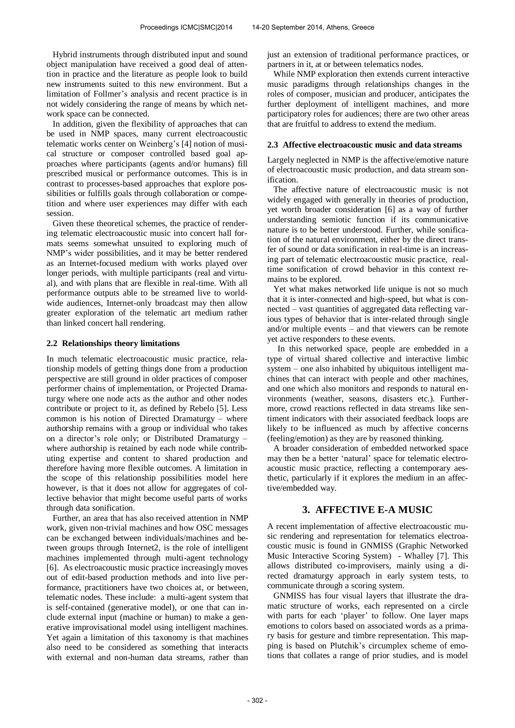Hybrid instruments through distributed input and sound object manipulation have received a good deal of attention in practice and the literature as people look to build new instruments suited to this new environment. But a limitation of Follmer's analysis and recent practice is in not widely considering the range of means by which network space can be connected.

In addition, given the flexibility of approaches that can be used in NMP spaces, many current electroacoustic telematic works center on Weinberg's [4] notion of musical structure or composer controlled based goal approaches where participants (agents and/or humans) fill prescribed musical or performance outcomes. This is in contrast to processes-based approaches that explore possibilities or fulfills goals through collaboration or competition and where user experiences may differ with each session.

Given these theoretical schemes, the practice of rendering telematic electroacoustic music into concert hall formats seems somewhat unsuited to exploring much of NMP's wider possibilities, and it may be better rendered as an Internet-focused medium with works played over longer periods, with multiple participants (real and virtual), and with plans that are flexible in real-time. With all performance outputs able to be streamed live to worldwide audiences, Internet-only broadcast may then allow greater exploration of the telematic art medium rather than linked concert hall rendering.

## **2.2 Relationships theory limitations**

In much telematic electroacoustic music practice, relationship models of getting things done from a production perspective are still ground in older practices of composer performer chains of implementation, or Projected Dramaturgy where one node acts as the author and other nodes contribute or project to it, as defined by Rebelo [5]. Less common is his notion of Directed Dramaturgy – where authorship remains with a group or individual who takes on a director's role only; or Distributed Dramaturgy – where authorship is retained by each node while contributing expertise and content to shared production and therefore having more flexible outcomes. A limitation in the scope of this relationship possibilities model here however, is that it does not allow for aggregates of collective behavior that might become useful parts of works through data sonification.

Further, an area that has also received attention in NMP work, given non-trivial machines and how OSC messages can be exchanged between individuals/machines and between groups through Internet2, is the role of intelligent machines implemented through multi-agent technology [6]. As electroacoustic music practice increasingly moves out of edit-based production methods and into live performance, practitioners have two choices at, or between, telematic nodes. These include: a multi-agent system that is self-contained (generative model), or one that can include external input (machine or human) to make a generative improvisational model using intelligent machines. Yet again a limitation of this taxonomy is that machines also need to be considered as something that interacts with external and non-human data streams, rather than just an extension of traditional performance practices, or partners in it, at or between telematics nodes.

While NMP exploration then extends current interactive music paradigms through relationships changes in the roles of composer, musician and producer, anticipates the further deployment of intelligent machines, and more participatory roles for audiences; there are two other areas that are fruitful to address to extend the medium.

## **2.3 Affective electroacoustic music and data streams**

Largely neglected in NMP is the affective/emotive nature of electroacoustic music production, and data stream sonification.

The affective nature of electroacoustic music is not widely engaged with generally in theories of production, yet worth broader consideration [6] as a way of further understanding semiotic function if its communicative nature is to be better understood. Further, while sonification of the natural environment, either by the direct transfer of sound or data sonification in real-time is an increasing part of telematic electroacoustic music practice, realtime sonification of crowd behavior in this context remains to be explored.

Yet what makes networked life unique is not so much that it is inter-connected and high-speed, but what is connected – vast quantities of aggregated data reflecting various types of behavior that is inter-related through single and/or multiple events – and that viewers can be remote yet active responders to these events.

 In this networked space, people are embedded in a type of virtual shared collective and interactive limbic system – one also inhabited by ubiquitous intelligent machines that can interact with people and other machines, and one which also monitors and responds to natural environments (weather, seasons, disasters etc.). Furthermore, crowd reactions reflected in data streams like sentiment indicators with their associated feedback loops are likely to be influenced as much by affective concerns (feeling/emotion) as they are by reasoned thinking.

A broader consideration of embedded networked space may then be a better 'natural' space for telematic electroacoustic music practice, reflecting a contemporary aesthetic, particularly if it explores the medium in an affective/embedded way.

# **3. AFFECTIVE E-A MUSIC**

A recent implementation of affective electroacoustic music rendering and representation for telematics electroacoustic music is found in GNMISS (Graphic Networked Music Interactive Scoring System) - Whalley [7]. This allows distributed co-improvisers, mainly using a directed dramaturgy approach in early system tests, to communicate through a scoring system.

GNMISS has four visual layers that illustrate the dramatic structure of works, each represented on a circle with parts for each 'player' to follow. One layer maps emotions to colors based on associated words as a primary basis for gesture and timbre representation. This mapping is based on Plutchik's circumplex scheme of emotions that collates a range of prior studies, and is model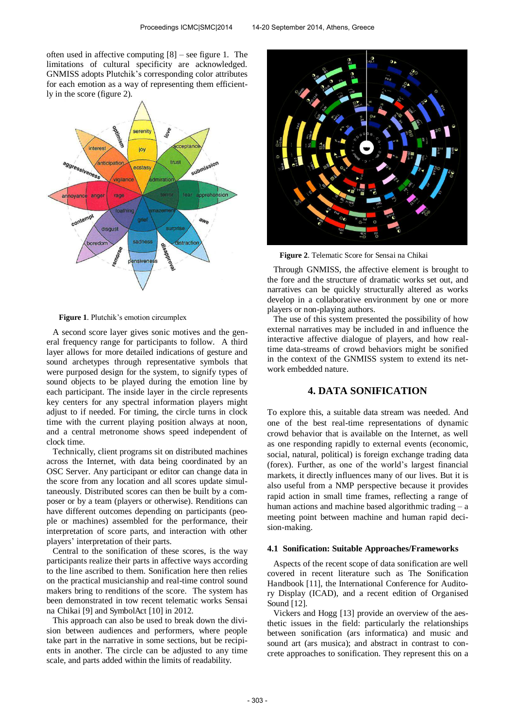often used in affective computing [8] – see figure 1. The limitations of cultural specificity are acknowledged. GNMISS adopts Plutchik's corresponding color attributes for each emotion as a way of representing them efficiently in the score (figure 2).



**Figure 1**. Plutchik's emotion circumplex

A second score layer gives sonic motives and the general frequency range for participants to follow. A third layer allows for more detailed indications of gesture and sound archetypes through representative symbols that were purposed design for the system, to signify types of sound objects to be played during the emotion line by each participant. The inside layer in the circle represents key centers for any spectral information players might adjust to if needed. For timing, the circle turns in clock time with the current playing position always at noon, and a central metronome shows speed independent of clock time.

Technically, client programs sit on distributed machines across the Internet, with data being coordinated by an OSC Server. Any participant or editor can change data in the score from any location and all scores update simultaneously. Distributed scores can then be built by a composer or by a team (players or otherwise). Renditions can have different outcomes depending on participants (people or machines) assembled for the performance, their interpretation of score parts, and interaction with other players' interpretation of their parts.

Central to the sonification of these scores, is the way participants realize their parts in affective ways according to the line ascribed to them. Sonification here then relies on the practical musicianship and real-time control sound makers bring to renditions of the score. The system has been demonstrated in tow recent telematic works Sensai na Chikai [9] and SymbolAct [10] in 2012.

This approach can also be used to break down the division between audiences and performers, where people take part in the narrative in some sections, but be recipients in another. The circle can be adjusted to any time scale, and parts added within the limits of readability.



**Figure 2**. Telematic Score for Sensai na Chikai

Through GNMISS, the affective element is brought to the fore and the structure of dramatic works set out, and narratives can be quickly structurally altered as works develop in a collaborative environment by one or more players or non-playing authors.

The use of this system presented the possibility of how external narratives may be included in and influence the interactive affective dialogue of players, and how realtime data-streams of crowd behaviors might be sonified in the context of the GNMISS system to extend its network embedded nature.

# **4. DATA SONIFICATION**

To explore this, a suitable data stream was needed. And one of the best real-time representations of dynamic crowd behavior that is available on the Internet, as well as one responding rapidly to external events (economic, social, natural, political) is foreign exchange trading data (forex). Further, as one of the world's largest financial markets, it directly influences many of our lives. But it is also useful from a NMP perspective because it provides rapid action in small time frames, reflecting a range of human actions and machine based algorithmic trading – a meeting point between machine and human rapid decision-making.

#### **4.1 Sonification: Suitable Approaches/Frameworks**

Aspects of the recent scope of data sonification are well covered in recent literature such as The Sonification Handbook [11], the International Conference for Auditory Display (ICAD), and a recent edition of Organised Sound [12].

Vickers and Hogg [13] provide an overview of the aesthetic issues in the field: particularly the relationships between sonification (ars informatica) and music and sound art (ars musica); and abstract in contrast to concrete approaches to sonification. They represent this on a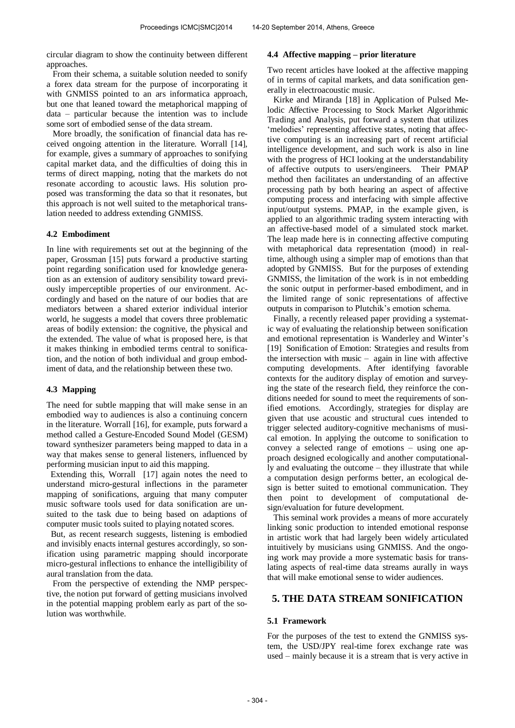circular diagram to show the continuity between different approaches.

From their schema, a suitable solution needed to sonify a forex data stream for the purpose of incorporating it with GNMISS pointed to an ars informatica approach, but one that leaned toward the metaphorical mapping of data – particular because the intention was to include some sort of embodied sense of the data stream.

More broadly, the sonification of financial data has received ongoing attention in the literature. Worrall [14], for example, gives a summary of approaches to sonifying capital market data, and the difficulties of doing this in terms of direct mapping, noting that the markets do not resonate according to acoustic laws. His solution proposed was transforming the data so that it resonates, but this approach is not well suited to the metaphorical translation needed to address extending GNMISS.

#### **4.2 Embodiment**

In line with requirements set out at the beginning of the paper, Grossman [15] puts forward a productive starting point regarding sonification used for knowledge generation as an extension of auditory sensibility toward previously imperceptible properties of our environment. Accordingly and based on the nature of our bodies that are mediators between a shared exterior individual interior world, he suggests a model that covers three problematic areas of bodily extension: the cognitive, the physical and the extended. The value of what is proposed here, is that it makes thinking in embodied terms central to sonification, and the notion of both individual and group embodiment of data, and the relationship between these two.

#### **4.3 Mapping**

The need for subtle mapping that will make sense in an embodied way to audiences is also a continuing concern in the literature. Worrall [16], for example, puts forward a method called a Gesture-Encoded Sound Model (GESM) toward synthesizer parameters being mapped to data in a way that makes sense to general listeners, influenced by performing musician input to aid this mapping.

 Extending this, Worrall [17] again notes the need to understand micro-gestural inflections in the parameter mapping of sonifications, arguing that many computer music software tools used for data sonification are unsuited to the task due to being based on adaptions of computer music tools suited to playing notated scores.

 But, as recent research suggests, listening is embodied and invisibly enacts internal gestures accordingly, so sonification using parametric mapping should incorporate micro-gestural inflections to enhance the intelligibility of aural translation from the data.

From the perspective of extending the NMP perspective, the notion put forward of getting musicians involved in the potential mapping problem early as part of the solution was worthwhile.

## **4.4 Affective mapping – prior literature**

Two recent articles have looked at the affective mapping of in terms of capital markets, and data sonification generally in electroacoustic music.

Kirke and Miranda [18] in Application of Pulsed Melodic Affective Processing to Stock Market Algorithmic Trading and Analysis, put forward a system that utilizes 'melodies' representing affective states, noting that affective computing is an increasing part of recent artificial intelligence development, and such work is also in line with the progress of HCI looking at the understandability of affective outputs to users/engineers. Their PMAP method then facilitates an understanding of an affective processing path by both hearing an aspect of affective computing process and interfacing with simple affective input/output systems. PMAP, in the example given, is applied to an algorithmic trading system interacting with an affective-based model of a simulated stock market. The leap made here is in connecting affective computing with metaphorical data representation (mood) in realtime, although using a simpler map of emotions than that adopted by GNMISS. But for the purposes of extending GNMISS, the limitation of the work is in not embedding the sonic output in performer-based embodiment, and in the limited range of sonic representations of affective outputs in comparison to Plutchik's emotion schema.

Finally, a recently released paper providing a systematic way of evaluating the relationship between sonification and emotional representation is Wanderley and Winter's [19] Sonification of Emotion: Strategies and results from the intersection with music – again in line with affective computing developments. After identifying favorable contexts for the auditory display of emotion and surveying the state of the research field, they reinforce the conditions needed for sound to meet the requirements of sonified emotions. Accordingly, strategies for display are given that use acoustic and structural cues intended to trigger selected auditory-cognitive mechanisms of musical emotion. In applying the outcome to sonification to convey a selected range of emotions – using one approach designed ecologically and another computationally and evaluating the outcome – they illustrate that while a computation design performs better, an ecological design is better suited to emotional communication. They then point to development of computational design/evaluation for future development.

This seminal work provides a means of more accurately linking sonic production to intended emotional response in artistic work that had largely been widely articulated intuitively by musicians using GNMISS. And the ongoing work may provide a more systematic basis for translating aspects of real-time data streams aurally in ways that will make emotional sense to wider audiences.

## **5. THE DATA STREAM SONIFICATION**

#### **5.1 Framework**

For the purposes of the test to extend the GNMISS system, the USD/JPY real-time forex exchange rate was used – mainly because it is a stream that is very active in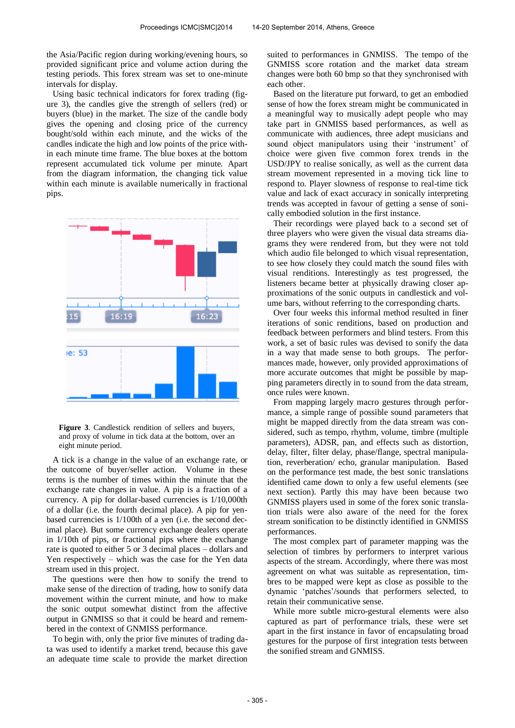the Asia/Pacific region during working/evening hours, so provided significant price and volume action during the testing periods. This forex stream was set to one-minute intervals for display.

Using basic technical indicators for forex trading (figure 3), the candles give the strength of sellers (red) or buyers (blue) in the market. The size of the candle body gives the opening and closing price of the currency bought/sold within each minute, and the wicks of the candles indicate the high and low points of the price within each minute time frame. The blue boxes at the bottom represent accumulated tick volume per minute. Apart from the diagram information, the changing tick value within each minute is available numerically in fractional pips.



**Figure 3**. Candlestick rendition of sellers and buyers, and proxy of volume in tick data at the bottom, over an eight minute period.

A tick is a change in the value of an exchange rate, or the outcome of buyer/seller action. Volume in these terms is the number of times within the minute that the exchange rate changes in value. A pip is a fraction of a currency. A pip for dollar-based currencies is 1/10,000th of a dollar (i.e. the fourth decimal place). A pip for yenbased currencies is 1/100th of a yen (i.e. the second decimal place). But some currency exchange dealers operate in 1/10th of pips, or fractional pips where the exchange rate is quoted to either 5 or 3 decimal places – dollars and Yen respectively – which was the case for the Yen data stream used in this project.

The questions were then how to sonify the trend to make sense of the direction of trading, how to sonify data movement within the current minute, and how to make the sonic output somewhat distinct from the affective output in GNMISS so that it could be heard and remembered in the context of GNMISS performance.

To begin with, only the prior five minutes of trading data was used to identify a market trend, because this gave an adequate time scale to provide the market direction

suited to performances in GNMISS. The tempo of the GNMISS score rotation and the market data stream changes were both 60 bmp so that they synchronised with each other.

Based on the literature put forward, to get an embodied sense of how the forex stream might be communicated in a meaningful way to musically adept people who may take part in GNMISS based performances, as well as communicate with audiences, three adept musicians and sound object manipulators using their 'instrument' of choice were given five common forex trends in the USD/JPY to realise sonically, as well as the current data stream movement represented in a moving tick line to respond to. Player slowness of response to real-time tick value and lack of exact accuracy in sonically interpreting trends was accepted in favour of getting a sense of sonically embodied solution in the first instance.

Their recordings were played back to a second set of three players who were given the visual data streams diagrams they were rendered from, but they were not told which audio file belonged to which visual representation, to see how closely they could match the sound files with visual renditions. Interestingly as test progressed, the listeners became better at physically drawing closer approximations of the sonic outputs in candlestick and volume bars, without referring to the corresponding charts.

Over four weeks this informal method resulted in finer iterations of sonic renditions, based on production and feedback between performers and blind testers. From this work, a set of basic rules was devised to sonify the data in a way that made sense to both groups. The performances made, however, only provided approximations of more accurate outcomes that might be possible by mapping parameters directly in to sound from the data stream, once rules were known.

From mapping largely macro gestures through performance, a simple range of possible sound parameters that might be mapped directly from the data stream was considered, such as tempo, rhythm, volume, timbre (multiple parameters), ADSR, pan, and effects such as distortion, delay, filter, filter delay, phase/flange, spectral manipulation, reverberation/ echo, granular manipulation. Based on the performance test made, the best sonic translations identified came down to only a few useful elements (see next section). Partly this may have been because two GNMISS players used in some of the forex sonic translation trials were also aware of the need for the forex stream sonification to be distinctly identified in GNMISS performances.

The most complex part of parameter mapping was the selection of timbres by performers to interpret various aspects of the stream. Accordingly, where there was most agreement on what was suitable as representation, timbres to be mapped were kept as close as possible to the dynamic 'patches'/sounds that performers selected, to retain their communicative sense.

While more subtle micro-gestural elements were also captured as part of performance trials, these were set apart in the first instance in favor of encapsulating broad gestures for the purpose of first integration tests between the sonified stream and GNMISS.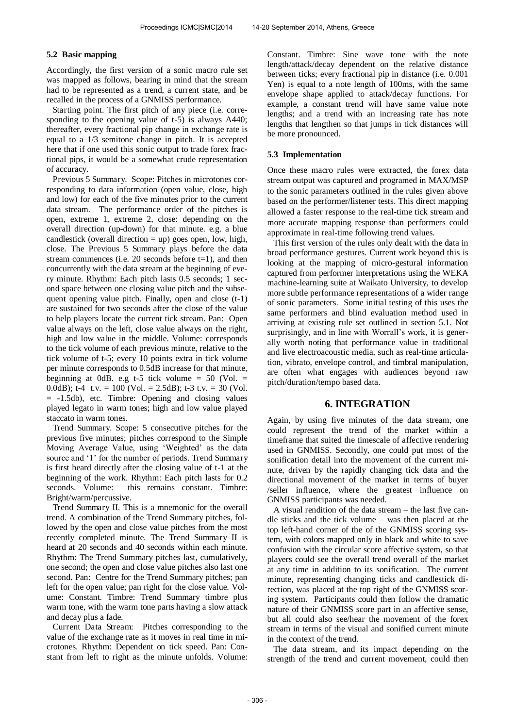## **5.2 Basic mapping**

Accordingly, the first version of a sonic macro rule set was mapped as follows, bearing in mind that the stream had to be represented as a trend, a current state, and be recalled in the process of a GNMISS performance.

Starting point. The first pitch of any piece (i.e. corresponding to the opening value of t-5) is always A440; thereafter, every fractional pip change in exchange rate is equal to a 1/3 semitone change in pitch. It is accepted here that if one used this sonic output to trade forex fractional pips, it would be a somewhat crude representation of accuracy.

Previous 5 Summary. Scope: Pitches in microtones corresponding to data information (open value, close, high and low) for each of the five minutes prior to the current data stream. The performance order of the pitches is open, extreme 1, extreme 2, close: depending on the overall direction (up-down) for that minute. e.g. a blue candlestick (overall direction  $=$  up) goes open, low, high, close. The Previous 5 Summary plays before the data stream commences (i.e. 20 seconds before  $t=1$ ), and then concurrently with the data stream at the beginning of every minute. Rhythm: Each pitch lasts 0.5 seconds; 1 second space between one closing value pitch and the subsequent opening value pitch. Finally, open and close  $(t-1)$ are sustained for two seconds after the close of the value to help players locate the current tick stream. Pan: Open value always on the left, close value always on the right, high and low value in the middle. Volume: corresponds to the tick volume of each previous minute, relative to the tick volume of t-5; every 10 points extra in tick volume per minute corresponds to 0.5dB increase for that minute, beginning at 0dB. e.g t-5 tick volume  $= 50$  (Vol.  $=$ 0.0dB); t-4 t.v. = 100 (Vol. = 2.5dB); t-3 t.v. = 30 (Vol. = -1.5db), etc. Timbre: Opening and closing values played legato in warm tones; high and low value played staccato in warm tones.

Trend Summary. Scope: 5 consecutive pitches for the previous five minutes; pitches correspond to the Simple Moving Average Value, using 'Weighted' as the data source and '1' for the number of periods. Trend Summary is first heard directly after the closing value of t-1 at the beginning of the work. Rhythm: Each pitch lasts for 0.2 seconds. Volume: this remains constant. Timbre: Bright/warm/percussive.

Trend Summary II. This is a mnemonic for the overall trend. A combination of the Trend Summary pitches, followed by the open and close value pitches from the most recently completed minute. The Trend Summary II is heard at 20 seconds and 40 seconds within each minute. Rhythm: The Trend Summary pitches last, cumulatively, one second; the open and close value pitches also last one second. Pan: Centre for the Trend Summary pitches; pan left for the open value; pan right for the close value. Volume: Constant. Timbre: Trend Summary timbre plus warm tone, with the warm tone parts having a slow attack and decay plus a fade.

Current Data Stream: Pitches corresponding to the value of the exchange rate as it moves in real time in microtones. Rhythm: Dependent on tick speed. Pan: Constant from left to right as the minute unfolds. Volume:

Constant. Timbre: Sine wave tone with the note length/attack/decay dependent on the relative distance between ticks; every fractional pip in distance (i.e. 0.001 Yen) is equal to a note length of 100ms, with the same envelope shape applied to attack/decay functions. For example, a constant trend will have same value note lengths; and a trend with an increasing rate has note lengths that lengthen so that jumps in tick distances will be more pronounced.

## **5.3 Implementation**

Once these macro rules were extracted, the forex data stream output was captured and programed in MAX/MSP to the sonic parameters outlined in the rules given above based on the performer/listener tests. This direct mapping allowed a faster response to the real-time tick stream and more accurate mapping response than performers could approximate in real-time following trend values.

This first version of the rules only dealt with the data in broad performance gestures. Current work beyond this is looking at the mapping of micro-gestural information captured from performer interpretations using the WEKA machine-learning suite at Waikato University, to develop more subtle performance representations of a wider range of sonic parameters. Some initial testing of this uses the same performers and blind evaluation method used in arriving at existing rule set outlined in section 5.1. Not surprisingly, and in line with Worrall's work, it is generally worth noting that performance value in traditional and live electroacoustic media, such as real-time articulation, vibrato, envelope control, and timbral manipulation, are often what engages with audiences beyond raw pitch/duration/tempo based data.

# **6. INTEGRATION**

Again, by using five minutes of the data stream, one could represent the trend of the market within a timeframe that suited the timescale of affective rendering used in GNMISS. Secondly, one could put most of the sonification detail into the movement of the current minute, driven by the rapidly changing tick data and the directional movement of the market in terms of buyer /seller influence, where the greatest influence on GNMISS participants was needed.

A visual rendition of the data stream – the last five candle sticks and the tick volume – was then placed at the top left-hand corner of the of the GNMISS scoring system, with colors mapped only in black and white to save confusion with the circular score affective system, so that players could see the overall trend overall of the market at any time in addition to its sonification. The current minute, representing changing ticks and candlestick direction, was placed at the top right of the GNMISS scoring system. Participants could then follow the dramatic nature of their GNMISS score part in an affective sense, but all could also see/hear the movement of the forex stream in terms of the visual and sonified current minute in the context of the trend.

The data stream, and its impact depending on the strength of the trend and current movement, could then